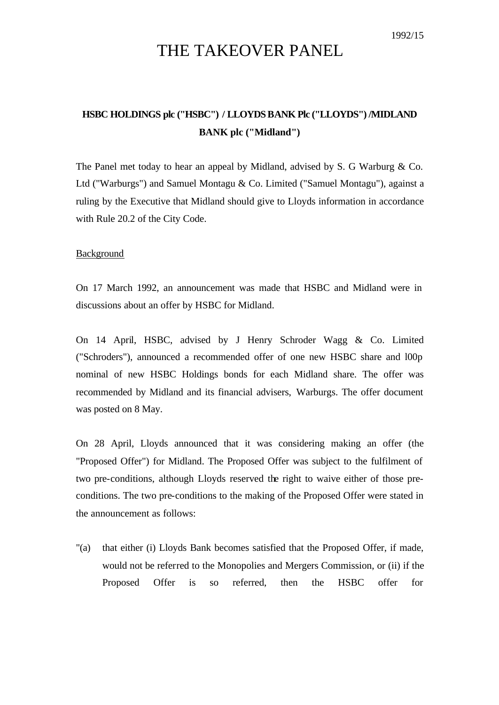# THE TAKEOVER PANEL

## **HSBC HOLDINGS plc ("HSBC") / LLOYDS BANK Plc ("LLOYDS") /MIDLAND BANK plc ("Midland")**

The Panel met today to hear an appeal by Midland, advised by S. G Warburg & Co. Ltd ("Warburgs") and Samuel Montagu & Co. Limited ("Samuel Montagu"), against a ruling by the Executive that Midland should give to Lloyds information in accordance with Rule 20.2 of the City Code.

### **Background**

On 17 March 1992, an announcement was made that HSBC and Midland were in discussions about an offer by HSBC for Midland.

On 14 April, HSBC, advised by J Henry Schroder Wagg & Co. Limited ("Schroders"), announced a recommended offer of one new HSBC share and l00p nominal of new HSBC Holdings bonds for each Midland share. The offer was recommended by Midland and its financial advisers, Warburgs. The offer document was posted on 8 May.

On 28 April, Lloyds announced that it was considering making an offer (the "Proposed Offer") for Midland. The Proposed Offer was subject to the fulfilment of two pre-conditions, although Lloyds reserved the right to waive either of those preconditions. The two pre-conditions to the making of the Proposed Offer were stated in the announcement as follows:

"(a) that either (i) Lloyds Bank becomes satisfied that the Proposed Offer, if made, would not be referred to the Monopolies and Mergers Commission, or (ii) if the Proposed Offer is so referred, then the HSBC offer for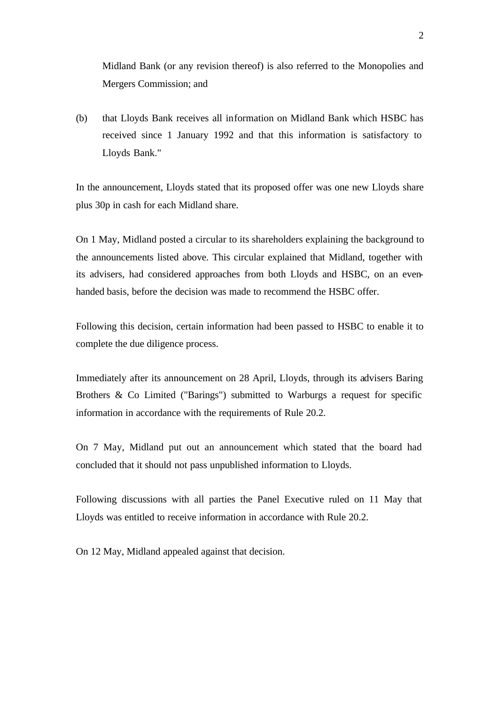Midland Bank (or any revision thereof) is also referred to the Monopolies and Mergers Commission; and

(b) that Lloyds Bank receives all information on Midland Bank which HSBC has received since 1 January 1992 and that this information is satisfactory to Lloyds Bank."

In the announcement, Lloyds stated that its proposed offer was one new Lloyds share plus 30p in cash for each Midland share.

On 1 May, Midland posted a circular to its shareholders explaining the background to the announcements listed above. This circular explained that Midland, together with its advisers, had considered approaches from both Lloyds and HSBC, on an evenhanded basis, before the decision was made to recommend the HSBC offer.

Following this decision, certain information had been passed to HSBC to enable it to complete the due diligence process.

Immediately after its announcement on 28 April, Lloyds, through its advisers Baring Brothers & Co Limited ("Barings") submitted to Warburgs a request for specific information in accordance with the requirements of Rule 20.2.

On 7 May, Midland put out an announcement which stated that the board had concluded that it should not pass unpublished information to Lloyds.

Following discussions with all parties the Panel Executive ruled on 11 May that Lloyds was entitled to receive information in accordance with Rule 20.2.

On 12 May, Midland appealed against that decision.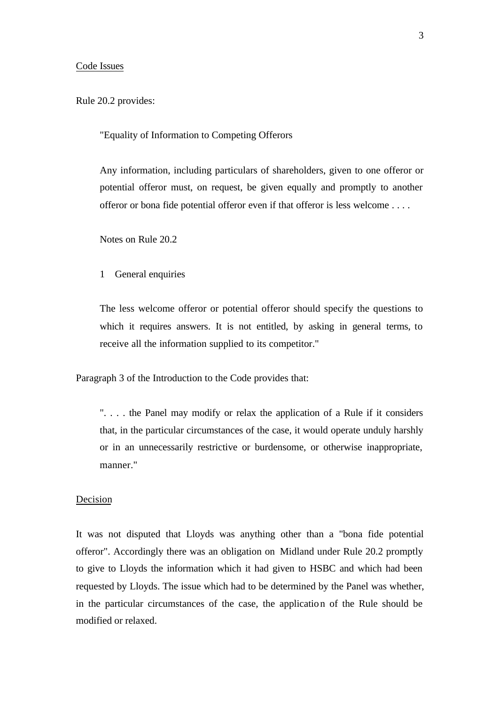#### Code Issues

Rule 20.2 provides:

"Equality of Information to Competing Offerors

Any information, including particulars of shareholders, given to one offeror or potential offeror must, on request, be given equally and promptly to another offeror or bona fide potential offeror even if that offeror is less welcome . . . .

Notes on Rule 20.2

1 General enquiries

The less welcome offeror or potential offeror should specify the questions to which it requires answers. It is not entitled, by asking in general terms, to receive all the information supplied to its competitor."

Paragraph 3 of the Introduction to the Code provides that:

". . . . the Panel may modify or relax the application of a Rule if it considers that, in the particular circumstances of the case, it would operate unduly harshly or in an unnecessarily restrictive or burdensome, or otherwise inappropriate, manner."

#### Decision

It was not disputed that Lloyds was anything other than a "bona fide potential offeror". Accordingly there was an obligation on Midland under Rule 20.2 promptly to give to Lloyds the information which it had given to HSBC and which had been requested by Lloyds. The issue which had to be determined by the Panel was whether, in the particular circumstances of the case, the application of the Rule should be modified or relaxed.